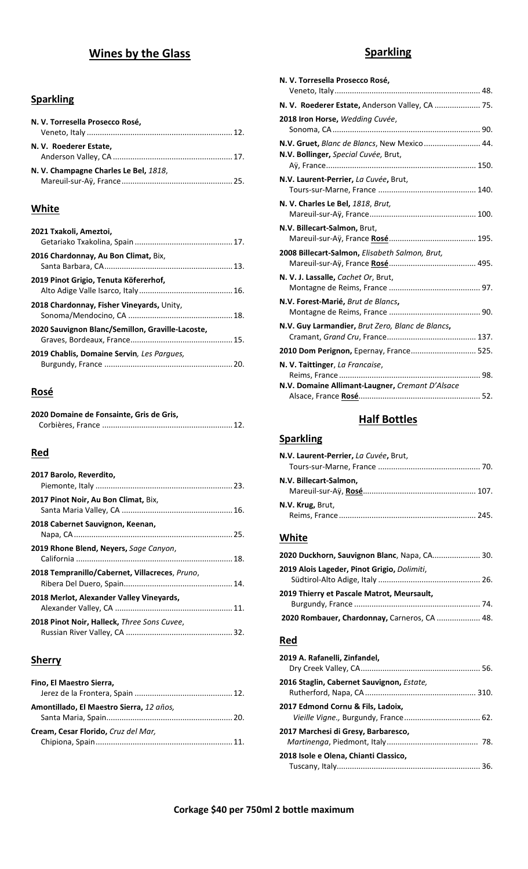# **Wines by the Glass**

## **Sparkling**

| N. V. Torresella Prosecco Rosé,       |  |
|---------------------------------------|--|
| N. V. Roederer Estate,                |  |
| N. V. Champagne Charles Le Bel, 1818, |  |

## **White**

| 2021 Txakoli, Ameztoi,                           |  |
|--------------------------------------------------|--|
| 2016 Chardonnay, Au Bon Climat, Bix,             |  |
| 2019 Pinot Grigio, Tenuta Köfererhof,            |  |
| 2018 Chardonnay, Fisher Vineyards, Unity,        |  |
| 2020 Sauvignon Blanc/Semillon, Graville-Lacoste, |  |
| 2019 Chablis, Domaine Servin, Les Parques,       |  |
|                                                  |  |

## **Rosé**

| 2020 Domaine de Fonsainte, Gris de Gris, |  |
|------------------------------------------|--|
|                                          |  |

## **Red**

| 2017 Barolo, Reverdito,                            |  |
|----------------------------------------------------|--|
| 2017 Pinot Noir, Au Bon Climat, Bix,               |  |
| 2018 Cabernet Sauvignon, Keenan,                   |  |
| 2019 Rhone Blend, Neyers, Sage Canyon,             |  |
| 2018 Tempranillo/Cabernet, Villacreces, Pruno,     |  |
| 2018 Merlot, Alexander Valley Vineyards,           |  |
| <b>2018 Pinot Noir, Halleck, Three Sons Cuvee,</b> |  |

### **Sherry**

| Fino, El Maestro Sierra,                 |  |
|------------------------------------------|--|
|                                          |  |
| Amontillado, El Maestro Sierra, 12 años, |  |
| Cream, Cesar Florido, Cruz del Mar,      |  |

# **Sparkling**

| N. V. Torresella Prosecco Rosé,                                                     |  |
|-------------------------------------------------------------------------------------|--|
|                                                                                     |  |
| N. V. Roederer Estate, Anderson Valley, CA  75.                                     |  |
| 2018 Iron Horse, Wedding Cuvée,                                                     |  |
| N.V. Gruet, Blanc de Blancs, New Mexico 44.<br>N.V. Bollinger, Special Cuvée, Brut, |  |
| N.V. Laurent-Perrier, La Cuvée, Brut,                                               |  |
| N. V. Charles Le Bel, 1818, Brut,                                                   |  |
| N.V. Billecart-Salmon, Brut,                                                        |  |
| 2008 Billecart-Salmon, Elisabeth Salmon, Brut,                                      |  |
| N. V. J. Lassalle, Cachet Or, Brut,                                                 |  |
| N.V. Forest-Marié, Brut de Blancs,                                                  |  |
| N.V. Guy Larmandier, Brut Zero, Blanc de Blancs,                                    |  |
| 2010 Dom Perignon, Epernay, France 525.                                             |  |
| N. V. Taittinger, La Francaise,                                                     |  |
| N.V. Domaine Allimant-Laugner, Cremant D'Alsace                                     |  |

# **Half Bottles**

## **Sparkling**

| N.V. Laurent-Perrier, La Cuvée, Brut, |  |
|---------------------------------------|--|
|                                       |  |
| N.V. Billecart-Salmon,                |  |
| N.V. Krug, Brut,                      |  |

## **White**

| 2020 Duckhorn, Sauvignon Blanc, Napa, CA 30. |  |
|----------------------------------------------|--|
| 2019 Alois Lageder, Pinot Grigio, Dolimiti,  |  |
| 2019 Thierry et Pascale Matrot, Meursault,   |  |
|                                              |  |
| 2020 Rombauer, Chardonnay, Carneros, CA  48. |  |

#### **Red**

| 2019 A. Rafanelli, Zinfandel,             |  |
|-------------------------------------------|--|
| 2016 Staglin, Cabernet Sauvignon, Estate, |  |
| 2017 Edmond Cornu & Fils, Ladoix,         |  |
| 2017 Marchesi di Gresy, Barbaresco,       |  |
| 2018 Isole e Olena, Chianti Classico,     |  |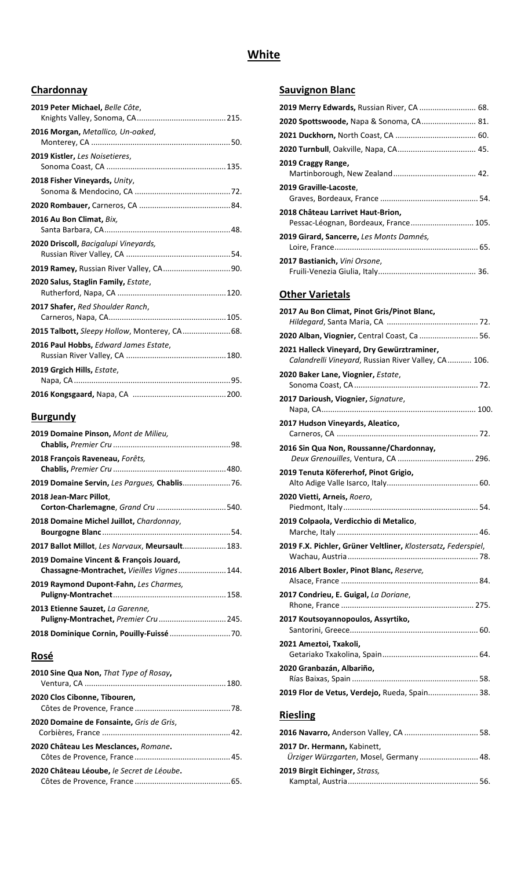# **White**

#### **Chardonnay**

| 2019 Peter Michael, Belle Côte,                |
|------------------------------------------------|
| 2016 Morgan, Metallico, Un-oaked,              |
| 2019 Kistler, Les Noisetieres,                 |
| 2018 Fisher Vineyards, Unity,                  |
|                                                |
| 2016 Au Bon Climat, Bix,                       |
| 2020 Driscoll, Bacigalupi Vineyards,           |
| <b>2019 Ramey, Russian River Valley, CA90.</b> |
| 2020 Salus, Staglin Family, Estate,            |
| 2017 Shafer, Red Shoulder Ranch,               |
| 2015 Talbott, Sleepy Hollow, Monterey, CA 68.  |
| 2016 Paul Hobbs, Edward James Estate,          |
| 2019 Grgich Hills, Estate,                     |
|                                                |

### **Burgundy**

| 2019 Domaine Pinson, Mont de Milieu,                                                  |  |
|---------------------------------------------------------------------------------------|--|
| 2018 François Raveneau, Forêts,                                                       |  |
|                                                                                       |  |
| 2018 Jean-Marc Pillot,<br>Corton-Charlemagne, Grand Cru  540.                         |  |
| 2018 Domaine Michel Juillot, Chardonnay,                                              |  |
| 2017 Ballot Millot, Les Narvaux, Meursault 183.                                       |  |
| 2019 Domaine Vincent & François Jouard,<br>Chassagne-Montrachet, Vieilles Vignes 144. |  |
| 2019 Raymond Dupont-Fahn, Les Charmes,                                                |  |
| 2013 Etienne Sauzet, La Garenne,<br>Puligny-Montrachet, Premier Cru  245.             |  |
|                                                                                       |  |

## **Rosé**

| 2010 Sine Qua Non, That Type of Rosay,    |  |
|-------------------------------------------|--|
| 2020 Clos Cibonne, Tibouren,              |  |
| 2020 Domaine de Fonsainte, Gris de Gris,  |  |
| 2020 Château Les Mesclances, Romane.      |  |
| 2020 Château Léoube, le Secret de Léoube. |  |

#### **Sauvignon Blanc**

| 2019 Merry Edwards, Russian River, CA  68.                                 |  |
|----------------------------------------------------------------------------|--|
| <b>2020 Spottswoode, Napa &amp; Sonoma, CA 81.</b>                         |  |
|                                                                            |  |
|                                                                            |  |
| 2019 Craggy Range,                                                         |  |
| 2019 Graville-Lacoste,                                                     |  |
| 2018 Château Larrivet Haut-Brion,<br>Pessac-Léognan, Bordeaux, France 105. |  |
| 2019 Girard, Sancerre, Les Monts Damnés,                                   |  |
| <b>2017 Bastianich, Vini Orsone,</b>                                       |  |

## **Other Varietals**

| 2017 Au Bon Climat, Pinot Gris/Pinot Blanc,                                                       |
|---------------------------------------------------------------------------------------------------|
| 2020 Alban, Viognier, Central Coast, Ca  56.                                                      |
| 2021 Halleck Vineyard, Dry Gewürztraminer,<br>Calandrelli Vineyard, Russian River Valley, CA 106. |
| 2020 Baker Lane, Viognier, Estate,                                                                |
| 2017 Darioush, Viognier, Signature,                                                               |
| 2017 Hudson Vineyards, Aleatico,                                                                  |
| 2016 Sin Qua Non, Roussanne/Chardonnay,                                                           |
| 2019 Tenuta Köfererhof, Pinot Grigio,                                                             |
| 2020 Vietti, Arneis, Roero,                                                                       |
| 2019 Colpaola, Verdicchio di Metalico,                                                            |
| 2019 F.X. Pichler, Grüner Veltliner, Klostersatz, Federspiel,                                     |
| 2016 Albert Boxler, Pinot Blanc, Reserve,                                                         |
| 2017 Condrieu, E. Guigal, La Doriane,                                                             |
| 2017 Koutsoyannopoulos, Assyrtiko,                                                                |
| 2021 Ameztoi, Txakoli,                                                                            |
| 2020 Granbazán, Albariño,                                                                         |
|                                                                                                   |
| 2019 Flor de Vetus, Verdejo, Rueda, Spain 38.                                                     |

#### **2016 Navarro,** Anderson Valley, CA .................................. 58. **2017 Dr. Hermann,** Kabinett, *Ürziger Würzgarten*, Mosel, Germany ........................... 48. **2019 Birgit Eichinger,** *Strass,* Kamptal, Austria............................................................ 56.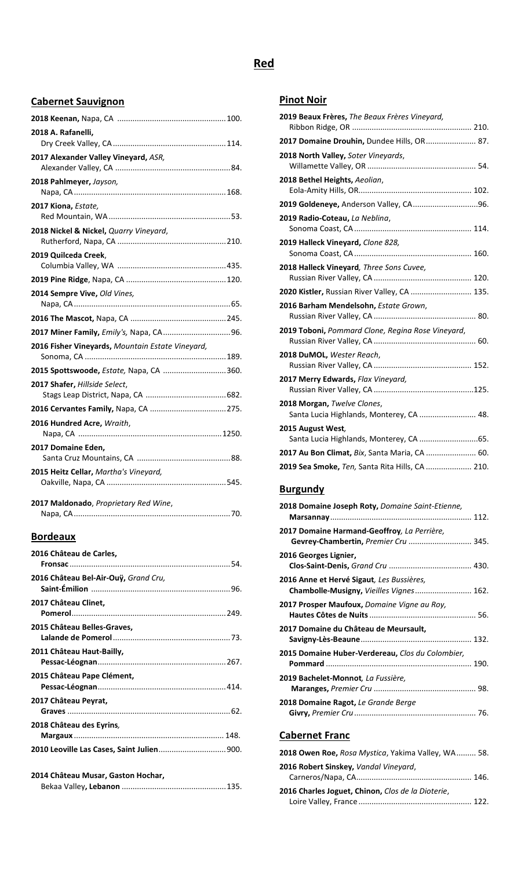## **Red**

#### **Cabernet Sauvignon**

| 2018 A. Rafanelli,                               |  |
|--------------------------------------------------|--|
|                                                  |  |
| 2017 Alexander Valley Vineyard, ASR,             |  |
|                                                  |  |
| 2018 Pahlmeyer, Jayson,                          |  |
|                                                  |  |
| 2017 Kiona, Estate,                              |  |
|                                                  |  |
| 2018 Nickel & Nickel, Quarry Vineyard,           |  |
|                                                  |  |
| 2019 Quilceda Creek,                             |  |
|                                                  |  |
|                                                  |  |
| 2014 Sempre Vive, Old Vines,                     |  |
|                                                  |  |
|                                                  |  |
|                                                  |  |
| 2016 Fisher Vineyards, Mountain Estate Vineyard, |  |
|                                                  |  |
| 2015 Spottswoode, Estate, Napa, CA  360.         |  |
| 2017 Shafer, Hillside Select,                    |  |
|                                                  |  |
|                                                  |  |
| 2016 Hundred Acre, Wraith,                       |  |
|                                                  |  |
| 2017 Domaine Eden,                               |  |
|                                                  |  |
| 2015 Heitz Cellar, Martha's Vineyard,            |  |
|                                                  |  |
| 2017 Maldonado, Proprietary Red Wine,            |  |
|                                                  |  |

## **Bordeaux**

| 2016 Château de Carles,                    |  |
|--------------------------------------------|--|
| 2016 Château Bel-Air-Ouÿ, Grand Cru,       |  |
| 2017 Château Clinet,                       |  |
| 2015 Château Belles-Graves,                |  |
| 2011 Château Haut-Bailly,                  |  |
| 2015 Château Pape Clément,                 |  |
| 2017 Château Peyrat,                       |  |
| 2018 Château des Eyrins,                   |  |
| 2010 Leoville Las Cases, Saint Julien 900. |  |
| 2014 Château Musar, Gaston Hochar,         |  |

Napa, CA........................................................................70.

#### **Pinot Noir**

| 2019 Beaux Frères, The Beaux Frères Vineyard,                           |
|-------------------------------------------------------------------------|
|                                                                         |
| 2017 Domaine Drouhin, Dundee Hills, OR 87.                              |
| 2018 North Valley, Soter Vineyards,                                     |
| 2018 Bethel Heights, Aeolian,                                           |
| 2019 Goldeneye, Anderson Valley, CA96.                                  |
| 2019 Radio-Coteau, La Neblina,                                          |
| 2019 Halleck Vineyard, Clone 828,                                       |
| 2018 Halleck Vineyard, Three Sons Cuvee,                                |
| 2020 Kistler, Russian River Valley, CA  135.                            |
| 2016 Barham Mendelsohn, Estate Grown,                                   |
| 2019 Toboni, Pommard Clone, Regina Rose Vineyard,                       |
| 2018 DuMOL, Wester Reach,                                               |
| 2017 Merry Edwards, Flax Vineyard,                                      |
| 2018 Morgan, Twelve Clones,<br>Santa Lucia Highlands, Monterey, CA  48. |
| 2015 August West,                                                       |
| 2017 Au Bon Climat, Bix, Santa Maria, CA  60.                           |
| 2019 Sea Smoke, Ten, Santa Rita Hills, CA  210.                         |
|                                                                         |

#### **Burgundy**

| 2018 Domaine Joseph Roty, Domaine Saint-Etienne,                                             |
|----------------------------------------------------------------------------------------------|
| 2017 Domaine Harmand-Geoffroy, La Perrière,<br>Gevrey-Chambertin, Premier Cru  345.          |
| 2016 Georges Lignier,                                                                        |
| <b>2016 Anne et Hervé Sigaut</b> , Les Bussières,<br>Chambolle-Musigny, Vieilles Vignes 162. |
| 2017 Prosper Maufoux, Domaine Vigne au Roy,                                                  |
| 2017 Domaine du Château de Meursault,                                                        |
| 2015 Domaine Huber-Verdereau, Clos du Colombier,                                             |
| 2019 Bachelet-Monnot, La Fussière,                                                           |
| 2018 Domaine Ragot, Le Grande Berge                                                          |
| <b>Cabernet Franc</b>                                                                        |

#### **2018 Owen Roe,** *Rosa Mystica*, Yakima Valley, WA......... 58. **2016 Robert Sinskey,** *Vandal Vineyard*, Carneros/Napa, CA..................................................... 146. **2016 Charles Joguet, Chinon,** *Clos de la Dioterie*, Loire Valley, France .................................................... 122.